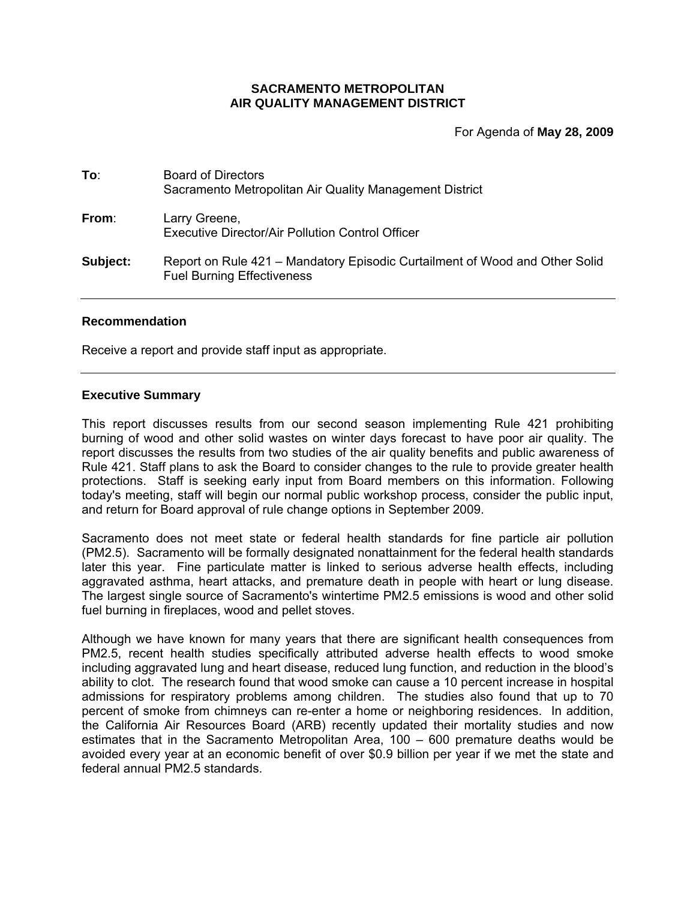## **SACRAMENTO METROPOLITAN AIR QUALITY MANAGEMENT DISTRICT**

For Agenda of **May 28, 2009**

| To∶      | <b>Board of Directors</b><br>Sacramento Metropolitan Air Quality Management District                             |
|----------|------------------------------------------------------------------------------------------------------------------|
| From:    | Larry Greene,<br>Executive Director/Air Pollution Control Officer                                                |
| Subject: | Report on Rule 421 – Mandatory Episodic Curtailment of Wood and Other Solid<br><b>Fuel Burning Effectiveness</b> |

#### **Recommendation**

Receive a report and provide staff input as appropriate.

#### **Executive Summary**

This report discusses results from our second season implementing Rule 421 prohibiting burning of wood and other solid wastes on winter days forecast to have poor air quality. The report discusses the results from two studies of the air quality benefits and public awareness of Rule 421. Staff plans to ask the Board to consider changes to the rule to provide greater health protections. Staff is seeking early input from Board members on this information. Following today's meeting, staff will begin our normal public workshop process, consider the public input, and return for Board approval of rule change options in September 2009.

Sacramento does not meet state or federal health standards for fine particle air pollution (PM2.5). Sacramento will be formally designated nonattainment for the federal health standards later this year. Fine particulate matter is linked to serious adverse health effects, including aggravated asthma, heart attacks, and premature death in people with heart or lung disease. The largest single source of Sacramento's wintertime PM2.5 emissions is wood and other solid fuel burning in fireplaces, wood and pellet stoves.

Although we have known for many years that there are significant health consequences from PM2.5, recent health studies specifically attributed adverse health effects to wood smoke including aggravated lung and heart disease, reduced lung function, and reduction in the blood's ability to clot. The research found that wood smoke can cause a 10 percent increase in hospital admissions for respiratory problems among children. The studies also found that up to 70 percent of smoke from chimneys can re-enter a home or neighboring residences. In addition, the California Air Resources Board (ARB) recently updated their mortality studies and now estimates that in the Sacramento Metropolitan Area, 100 – 600 premature deaths would be avoided every year at an economic benefit of over \$0.9 billion per year if we met the state and federal annual PM2.5 standards.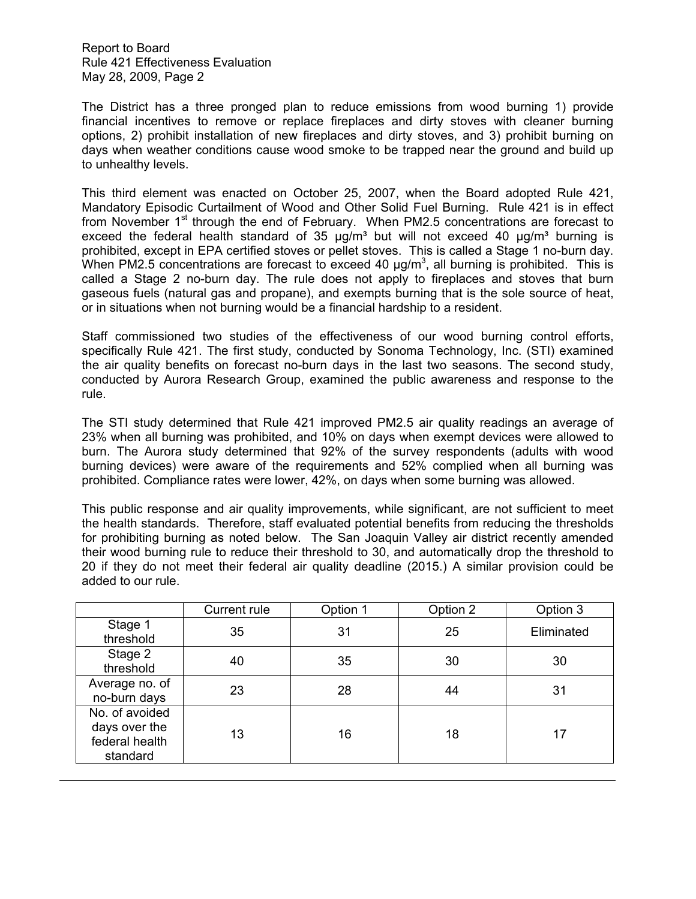The District has a three pronged plan to reduce emissions from wood burning 1) provide financial incentives to remove or replace fireplaces and dirty stoves with cleaner burning options, 2) prohibit installation of new fireplaces and dirty stoves, and 3) prohibit burning on days when weather conditions cause wood smoke to be trapped near the ground and build up to unhealthy levels.

This third element was enacted on October 25, 2007, when the Board adopted Rule 421, Mandatory Episodic Curtailment of Wood and Other Solid Fuel Burning. Rule 421 is in effect from November  $1<sup>st</sup>$  through the end of February. When PM2.5 concentrations are forecast to exceed the federal health standard of 35  $\mu q/m^3$  but will not exceed 40  $\mu q/m^3$  burning is prohibited, except in EPA certified stoves or pellet stoves. This is called a Stage 1 no-burn day. When PM2.5 concentrations are forecast to exceed 40  $\mu$ g/m<sup>3</sup>, all burning is prohibited. This is called a Stage 2 no-burn day. The rule does not apply to fireplaces and stoves that burn gaseous fuels (natural gas and propane), and exempts burning that is the sole source of heat, or in situations when not burning would be a financial hardship to a resident.

Staff commissioned two studies of the effectiveness of our wood burning control efforts, specifically Rule 421. The first study, conducted by Sonoma Technology, Inc. (STI) examined the air quality benefits on forecast no-burn days in the last two seasons. The second study, conducted by Aurora Research Group, examined the public awareness and response to the rule.

The STI study determined that Rule 421 improved PM2.5 air quality readings an average of 23% when all burning was prohibited, and 10% on days when exempt devices were allowed to burn. The Aurora study determined that 92% of the survey respondents (adults with wood burning devices) were aware of the requirements and 52% complied when all burning was prohibited. Compliance rates were lower, 42%, on days when some burning was allowed.

This public response and air quality improvements, while significant, are not sufficient to meet the health standards. Therefore, staff evaluated potential benefits from reducing the thresholds for prohibiting burning as noted below. The San Joaquin Valley air district recently amended their wood burning rule to reduce their threshold to 30, and automatically drop the threshold to 20 if they do not meet their federal air quality deadline (2015.) A similar provision could be added to our rule.

|                                                               | Current rule | Option 1 | Option 2 | Option 3   |
|---------------------------------------------------------------|--------------|----------|----------|------------|
| Stage 1<br>threshold                                          | 35           | 31       | 25       | Eliminated |
| Stage 2<br>threshold                                          | 40           | 35       | 30       | 30         |
| Average no. of<br>no-burn days                                | 23           | 28       | 44       | 31         |
| No. of avoided<br>days over the<br>federal health<br>standard | 13           | 16       | 18       | 17         |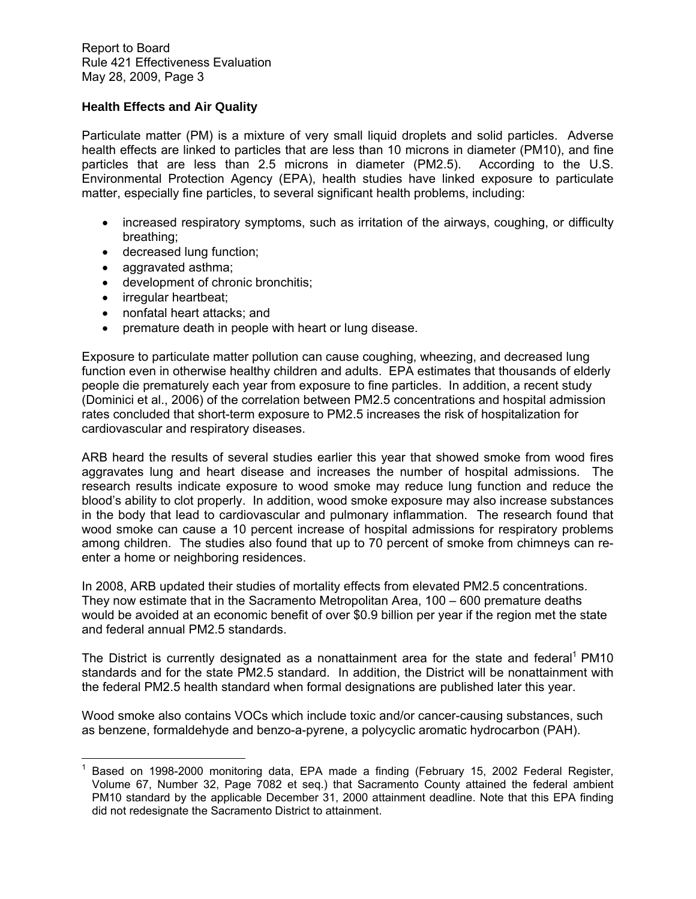## **Health Effects and Air Quality**

Particulate matter (PM) is a mixture of very small liquid droplets and solid particles. Adverse health effects are linked to particles that are less than 10 microns in diameter (PM10), and fine particles that are less than 2.5 microns in diameter (PM2.5). According to the U.S. Environmental Protection Agency (EPA), health studies have linked exposure to particulate matter, especially fine particles, to several significant health problems, including:

- increased respiratory symptoms, such as irritation of the airways, coughing, or difficulty breathing;
- decreased lung function;
- aggravated asthma;
- development of chronic bronchitis;
- irregular heartbeat;
- nonfatal heart attacks; and
- premature death in people with heart or lung disease.

Exposure to particulate matter pollution can cause coughing, wheezing, and decreased lung function even in otherwise healthy children and adults. EPA estimates that thousands of elderly people die prematurely each year from exposure to fine particles. In addition, a recent study (Dominici et al., 2006) of the correlation between PM2.5 concentrations and hospital admission rates concluded that short-term exposure to PM2.5 increases the risk of hospitalization for cardiovascular and respiratory diseases.

ARB heard the results of several studies earlier this year that showed smoke from wood fires aggravates lung and heart disease and increases the number of hospital admissions. The research results indicate exposure to wood smoke may reduce lung function and reduce the blood's ability to clot properly. In addition, wood smoke exposure may also increase substances in the body that lead to cardiovascular and pulmonary inflammation. The research found that wood smoke can cause a 10 percent increase of hospital admissions for respiratory problems among children. The studies also found that up to 70 percent of smoke from chimneys can reenter a home or neighboring residences.

In 2008, ARB updated their studies of mortality effects from elevated PM2.5 concentrations. They now estimate that in the Sacramento Metropolitan Area, 100 – 600 premature deaths would be avoided at an economic benefit of over \$0.9 billion per year if the region met the state and federal annual PM2.5 standards.

The District is currently designated as a nonattainment area for the state and federal<sup>1</sup> PM10 standards and for the state PM2.5 standard. In addition, the District will be nonattainment with the federal PM2.5 health standard when formal designations are published later this year.

Wood smoke also contains VOCs which include toxic and/or cancer-causing substances, such as benzene, formaldehyde and benzo-a-pyrene, a polycyclic aromatic hydrocarbon (PAH).

 $\overline{a}$ 1 Based on 1998-2000 monitoring data, EPA made a finding (February 15, 2002 Federal Register, Volume 67, Number 32, Page 7082 et seq.) that Sacramento County attained the federal ambient PM10 standard by the applicable December 31, 2000 attainment deadline. Note that this EPA finding did not redesignate the Sacramento District to attainment.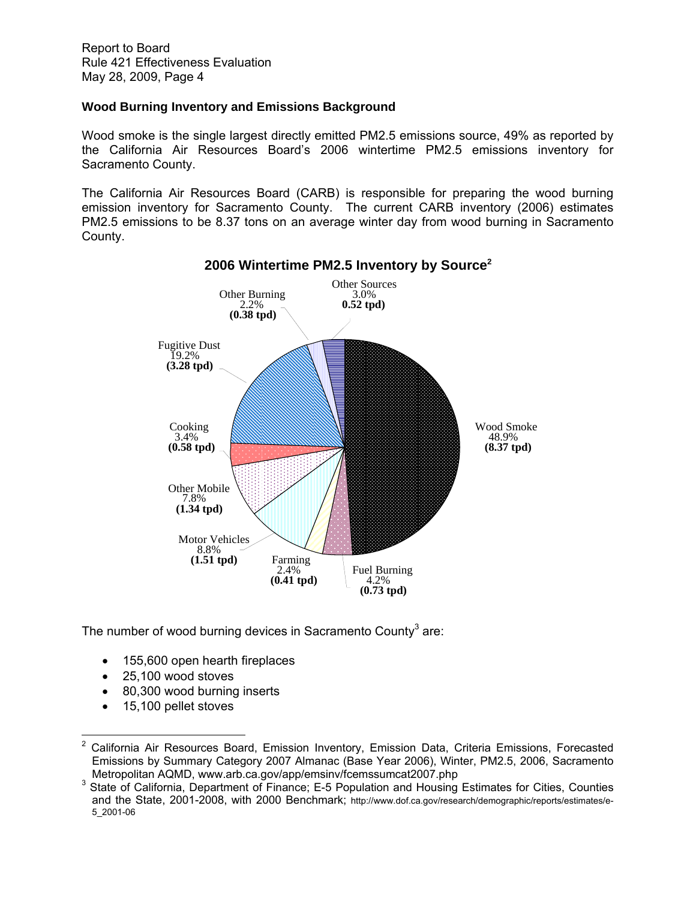# **Wood Burning Inventory and Emissions Background**

Wood smoke is the single largest directly emitted PM2.5 emissions source, 49% as reported by the California Air Resources Board's 2006 wintertime PM2.5 emissions inventory for Sacramento County.

The California Air Resources Board (CARB) is responsible for preparing the wood burning emission inventory for Sacramento County. The current CARB inventory (2006) estimates PM2.5 emissions to be 8.37 tons on an average winter day from wood burning in Sacramento County.



**2006 Wintertime PM2.5 Inventory by Source2**

The number of wood burning devices in Sacramento County<sup>3</sup> are:

- 155,600 open hearth fireplaces
- 25,100 wood stoves
- 80,300 wood burning inserts
- 15,100 pellet stoves

 $\overline{a}$ 

<sup>2</sup> California Air Resources Board, Emission Inventory, Emission Data, Criteria Emissions, Forecasted Emissions by Summary Category 2007 Almanac (Base Year 2006), Winter, PM2.5, 2006, Sacramento Metropolitan AQMD, www.arb.ca.gov/app/emsinv/fcemssumcat2007.php 3

<sup>&</sup>lt;sup>3</sup> State of California, Department of Finance; E-5 Population and Housing Estimates for Cities, Counties and the State, 2001-2008, with 2000 Benchmark; http://www.dof.ca.gov/research/demographic/reports/estimates/e-5\_2001-06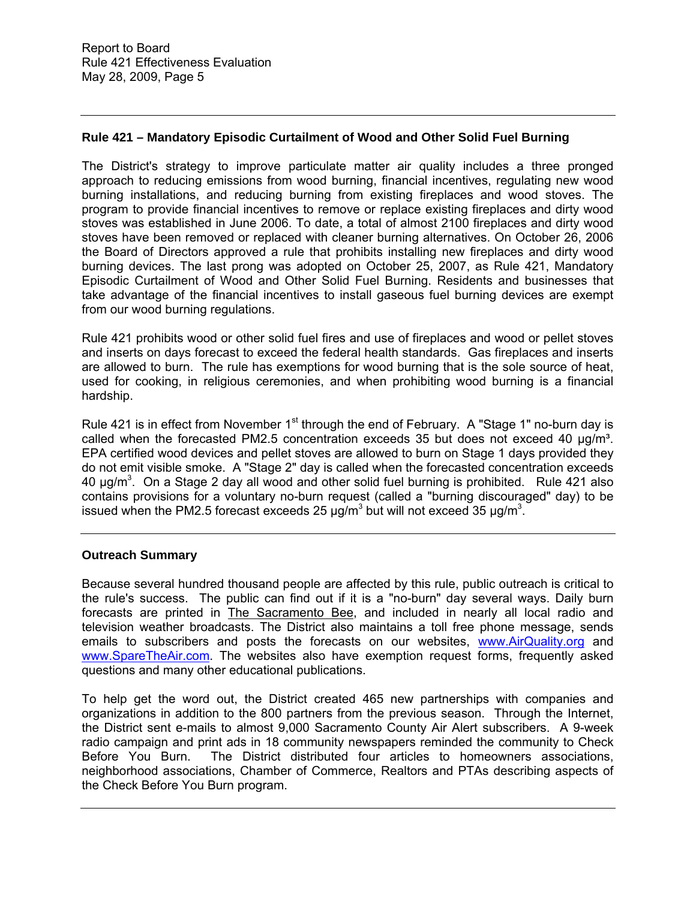# **Rule 421 – Mandatory Episodic Curtailment of Wood and Other Solid Fuel Burning**

The District's strategy to improve particulate matter air quality includes a three pronged approach to reducing emissions from wood burning, financial incentives, regulating new wood burning installations, and reducing burning from existing fireplaces and wood stoves. The program to provide financial incentives to remove or replace existing fireplaces and dirty wood stoves was established in June 2006. To date, a total of almost 2100 fireplaces and dirty wood stoves have been removed or replaced with cleaner burning alternatives. On October 26, 2006 the Board of Directors approved a rule that prohibits installing new fireplaces and dirty wood burning devices. The last prong was adopted on October 25, 2007, as Rule 421, Mandatory Episodic Curtailment of Wood and Other Solid Fuel Burning. Residents and businesses that take advantage of the financial incentives to install gaseous fuel burning devices are exempt from our wood burning regulations.

Rule 421 prohibits wood or other solid fuel fires and use of fireplaces and wood or pellet stoves and inserts on days forecast to exceed the federal health standards. Gas fireplaces and inserts are allowed to burn. The rule has exemptions for wood burning that is the sole source of heat, used for cooking, in religious ceremonies, and when prohibiting wood burning is a financial hardship.

Rule 421 is in effect from November  $1<sup>st</sup>$  through the end of February. A "Stage 1" no-burn day is called when the forecasted PM2.5 concentration exceeds 35 but does not exceed 40  $\mu q/m^3$ . EPA certified wood devices and pellet stoves are allowed to burn on Stage 1 days provided they do not emit visible smoke. A "Stage 2" day is called when the forecasted concentration exceeds 40  $\mu$ g/m<sup>3</sup>. On a Stage 2 day all wood and other solid fuel burning is prohibited. Rule 421 also contains provisions for a voluntary no-burn request (called a "burning discouraged" day) to be issued when the PM2.5 forecast exceeds 25  $\mu$ g/m<sup>3</sup> but will not exceed 35  $\mu$ g/m<sup>3</sup>.

# **Outreach Summary**

Because several hundred thousand people are affected by this rule, public outreach is critical to the rule's success. The public can find out if it is a "no-burn" day several ways. Daily burn forecasts are printed in The Sacramento Bee, and included in nearly all local radio and television weather broadcasts. The District also maintains a toll free phone message, sends emails to subscribers and posts the forecasts on our websites, www.AirQuality.org and www.SpareTheAir.com. The websites also have exemption request forms, frequently asked questions and many other educational publications.

To help get the word out, the District created 465 new partnerships with companies and organizations in addition to the 800 partners from the previous season. Through the Internet, the District sent e-mails to almost 9,000 Sacramento County Air Alert subscribers. A 9-week radio campaign and print ads in 18 community newspapers reminded the community to Check Before You Burn. The District distributed four articles to homeowners associations, neighborhood associations, Chamber of Commerce, Realtors and PTAs describing aspects of the Check Before You Burn program.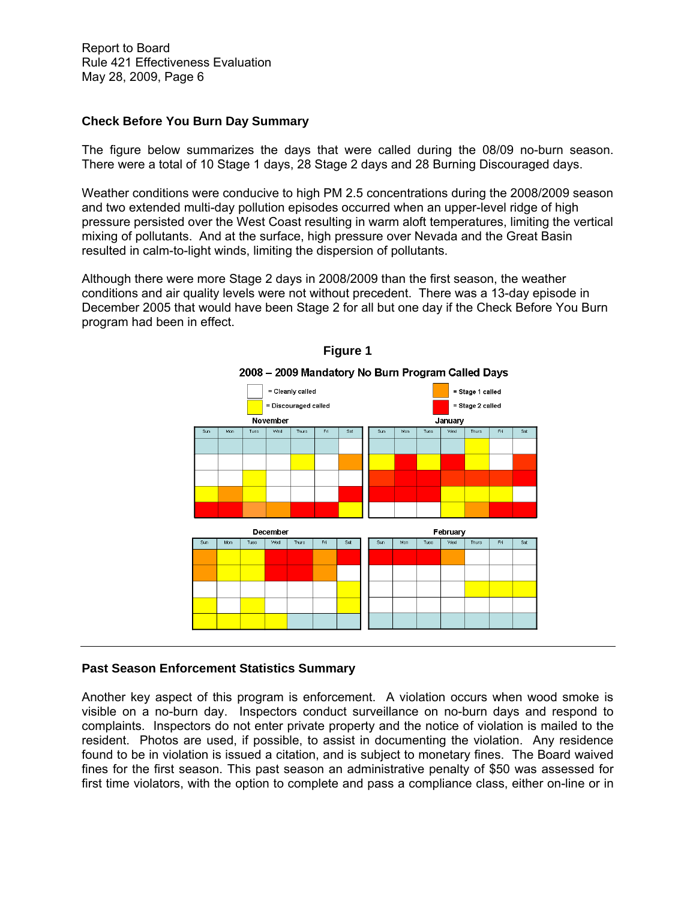## **Check Before You Burn Day Summary**

The figure below summarizes the days that were called during the 08/09 no-burn season. There were a total of 10 Stage 1 days, 28 Stage 2 days and 28 Burning Discouraged days.

Weather conditions were conducive to high PM 2.5 concentrations during the 2008/2009 season and two extended multi-day pollution episodes occurred when an upper-level ridge of high pressure persisted over the West Coast resulting in warm aloft temperatures, limiting the vertical mixing of pollutants. And at the surface, high pressure over Nevada and the Great Basin resulted in calm-to-light winds, limiting the dispersion of pollutants.

Although there were more Stage 2 days in 2008/2009 than the first season, the weather conditions and air quality levels were not without precedent. There was a 13-day episode in December 2005 that would have been Stage 2 for all but one day if the Check Before You Burn program had been in effect.





# **Past Season Enforcement Statistics Summary**

Another key aspect of this program is enforcement. A violation occurs when wood smoke is visible on a no-burn day. Inspectors conduct surveillance on no-burn days and respond to complaints. Inspectors do not enter private property and the notice of violation is mailed to the resident. Photos are used, if possible, to assist in documenting the violation. Any residence found to be in violation is issued a citation, and is subject to monetary fines. The Board waived fines for the first season. This past season an administrative penalty of \$50 was assessed for first time violators, with the option to complete and pass a compliance class, either on-line or in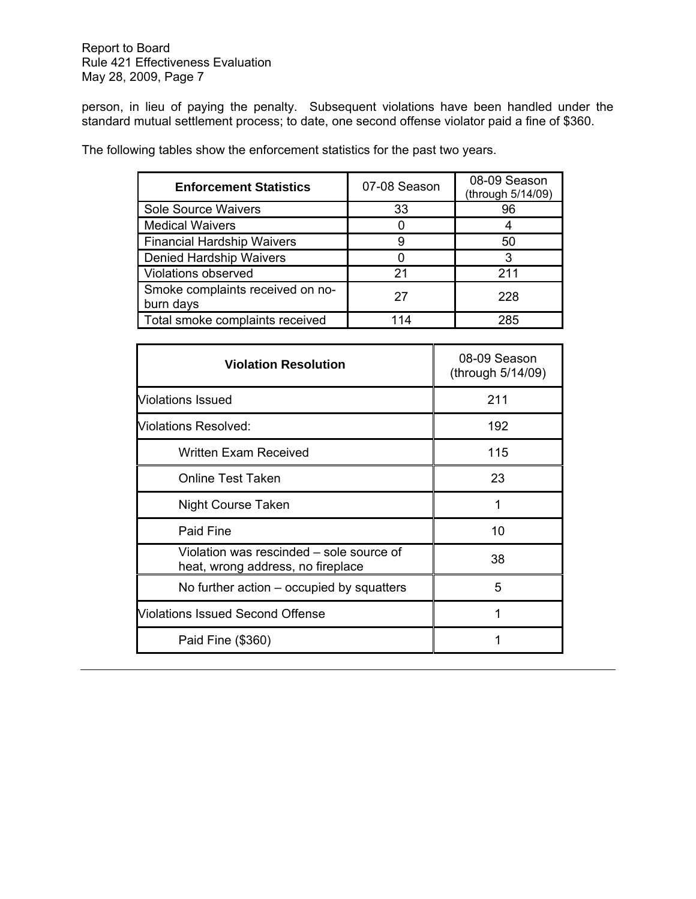person, in lieu of paying the penalty. Subsequent violations have been handled under the standard mutual settlement process; to date, one second offense violator paid a fine of \$360.

| <b>Enforcement Statistics</b>                 | 07-08 Season | 08-09 Season<br>(through 5/14/09) |
|-----------------------------------------------|--------------|-----------------------------------|
| Sole Source Waivers                           | 33           | 96                                |
| <b>Medical Waivers</b>                        |              |                                   |
| <b>Financial Hardship Waivers</b>             | 9            | 50                                |
| <b>Denied Hardship Waivers</b>                |              | 3                                 |
| <b>Violations observed</b>                    | 21           | 211                               |
| Smoke complaints received on no-<br>burn days | 27           | 228                               |
| Total smoke complaints received               | 114          | 285                               |

The following tables show the enforcement statistics for the past two years.

| <b>Violation Resolution</b>                                                   | 08-09 Season<br>(through 5/14/09) |
|-------------------------------------------------------------------------------|-----------------------------------|
| <b>Violations Issued</b>                                                      | 211                               |
| Violations Resolved:                                                          | 192                               |
| <b>Written Exam Received</b>                                                  | 115                               |
| <b>Online Test Taken</b>                                                      | 23                                |
| <b>Night Course Taken</b>                                                     | 1                                 |
| Paid Fine                                                                     | 10                                |
| Violation was rescinded – sole source of<br>heat, wrong address, no fireplace | 38                                |
| No further action – occupied by squatters                                     | 5                                 |
| Violations Issued Second Offense                                              | 1                                 |
| Paid Fine (\$360)                                                             |                                   |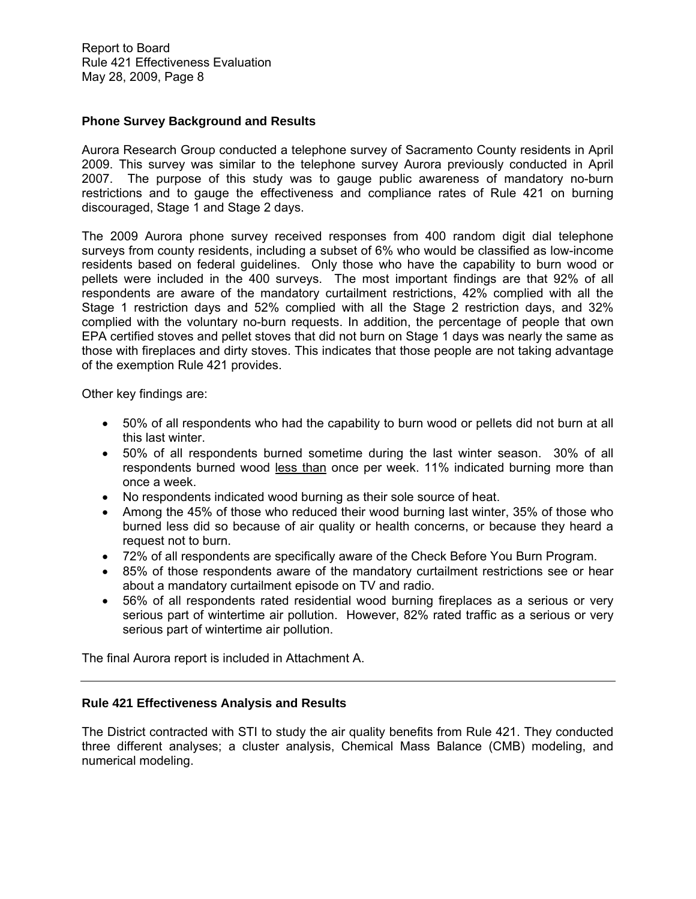## **Phone Survey Background and Results**

Aurora Research Group conducted a telephone survey of Sacramento County residents in April 2009. This survey was similar to the telephone survey Aurora previously conducted in April 2007. The purpose of this study was to gauge public awareness of mandatory no-burn restrictions and to gauge the effectiveness and compliance rates of Rule 421 on burning discouraged, Stage 1 and Stage 2 days.

The 2009 Aurora phone survey received responses from 400 random digit dial telephone surveys from county residents, including a subset of 6% who would be classified as low-income residents based on federal guidelines. Only those who have the capability to burn wood or pellets were included in the 400 surveys. The most important findings are that 92% of all respondents are aware of the mandatory curtailment restrictions, 42% complied with all the Stage 1 restriction days and 52% complied with all the Stage 2 restriction days, and 32% complied with the voluntary no-burn requests. In addition, the percentage of people that own EPA certified stoves and pellet stoves that did not burn on Stage 1 days was nearly the same as those with fireplaces and dirty stoves. This indicates that those people are not taking advantage of the exemption Rule 421 provides.

Other key findings are:

- 50% of all respondents who had the capability to burn wood or pellets did not burn at all this last winter.
- 50% of all respondents burned sometime during the last winter season. 30% of all respondents burned wood less than once per week. 11% indicated burning more than once a week.
- No respondents indicated wood burning as their sole source of heat.
- Among the 45% of those who reduced their wood burning last winter, 35% of those who burned less did so because of air quality or health concerns, or because they heard a request not to burn.
- 72% of all respondents are specifically aware of the Check Before You Burn Program.
- 85% of those respondents aware of the mandatory curtailment restrictions see or hear about a mandatory curtailment episode on TV and radio.
- 56% of all respondents rated residential wood burning fireplaces as a serious or very serious part of wintertime air pollution. However, 82% rated traffic as a serious or very serious part of wintertime air pollution.

The final Aurora report is included in Attachment A.

#### **Rule 421 Effectiveness Analysis and Results**

The District contracted with STI to study the air quality benefits from Rule 421. They conducted three different analyses; a cluster analysis, Chemical Mass Balance (CMB) modeling, and numerical modeling.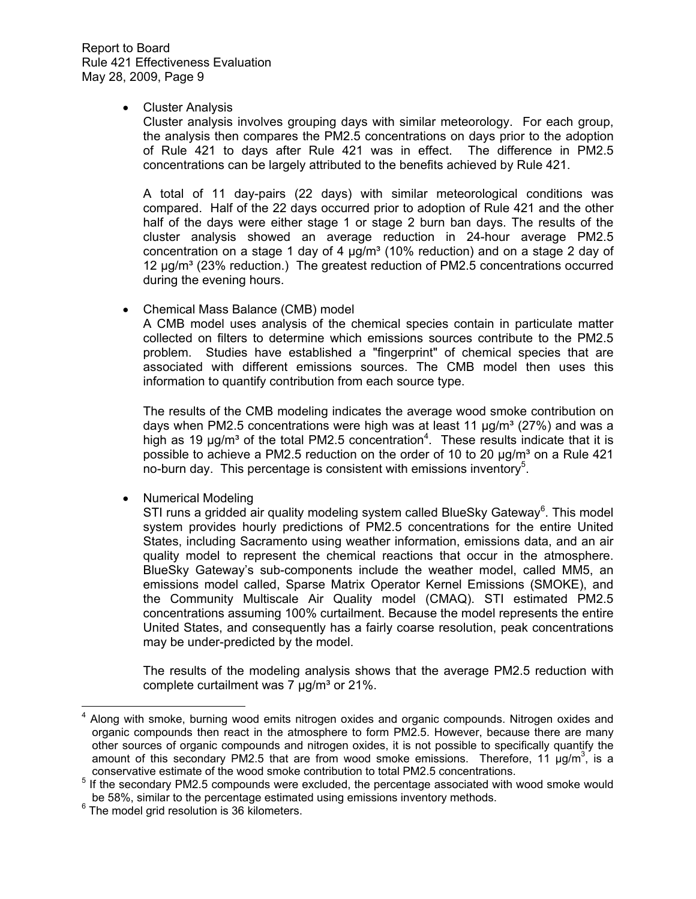#### • Cluster Analysis

Cluster analysis involves grouping days with similar meteorology. For each group, the analysis then compares the PM2.5 concentrations on days prior to the adoption of Rule 421 to days after Rule 421 was in effect. The difference in PM2.5 concentrations can be largely attributed to the benefits achieved by Rule 421.

A total of 11 day-pairs (22 days) with similar meteorological conditions was compared. Half of the 22 days occurred prior to adoption of Rule 421 and the other half of the days were either stage 1 or stage 2 burn ban days. The results of the cluster analysis showed an average reduction in 24-hour average PM2.5 concentration on a stage 1 day of 4  $\mu$ g/m<sup>3</sup> (10% reduction) and on a stage 2 day of 12 µg/m<sup>3</sup> (23% reduction.) The greatest reduction of PM2.5 concentrations occurred during the evening hours.

Chemical Mass Balance (CMB) model

A CMB model uses analysis of the chemical species contain in particulate matter collected on filters to determine which emissions sources contribute to the PM2.5 problem. Studies have established a "fingerprint" of chemical species that are associated with different emissions sources. The CMB model then uses this information to quantify contribution from each source type.

The results of the CMB modeling indicates the average wood smoke contribution on days when PM2.5 concentrations were high was at least 11  $\mu q/m^3$  (27%) and was a high as 19  $\mu$ g/m<sup>3</sup> of the total PM2.5 concentration<sup>4</sup>. These results indicate that it is possible to achieve a PM2.5 reduction on the order of 10 to 20  $\mu q/m^3$  on a Rule 421 no-burn day. This percentage is consistent with emissions inventory<sup>5</sup>.

• Numerical Modeling

STI runs a gridded air quality modeling system called BlueSky Gateway $^6$ . This model system provides hourly predictions of PM2.5 concentrations for the entire United States, including Sacramento using weather information, emissions data, and an air quality model to represent the chemical reactions that occur in the atmosphere. BlueSky Gateway's sub-components include the weather model, called MM5, an emissions model called, Sparse Matrix Operator Kernel Emissions (SMOKE), and the Community Multiscale Air Quality model (CMAQ). STI estimated PM2.5 concentrations assuming 100% curtailment. Because the model represents the entire United States, and consequently has a fairly coarse resolution, peak concentrations may be under-predicted by the model.

The results of the modeling analysis shows that the average PM2.5 reduction with complete curtailment was 7  $\mu$ g/m<sup>3</sup> or 21%.

 $\overline{a}$ 

<sup>4</sup> Along with smoke, burning wood emits nitrogen oxides and organic compounds. Nitrogen oxides and organic compounds then react in the atmosphere to form PM2.5. However, because there are many other sources of organic compounds and nitrogen oxides, it is not possible to specifically quantify the amount of this secondary PM2.5 that are from wood smoke emissions. Therefore, 11  $\mu$ g/m<sup>3</sup>, is a conservative estimate of the wood smoke contribution to total PM2.5 concentrations.

 $<sup>5</sup>$  If the secondary PM2.5 compounds were excluded, the percentage associated with wood smoke would</sup> be 58%, similar to the percentage estimated using emissions inventory methods.

 $6$  The model grid resolution is 36 kilometers.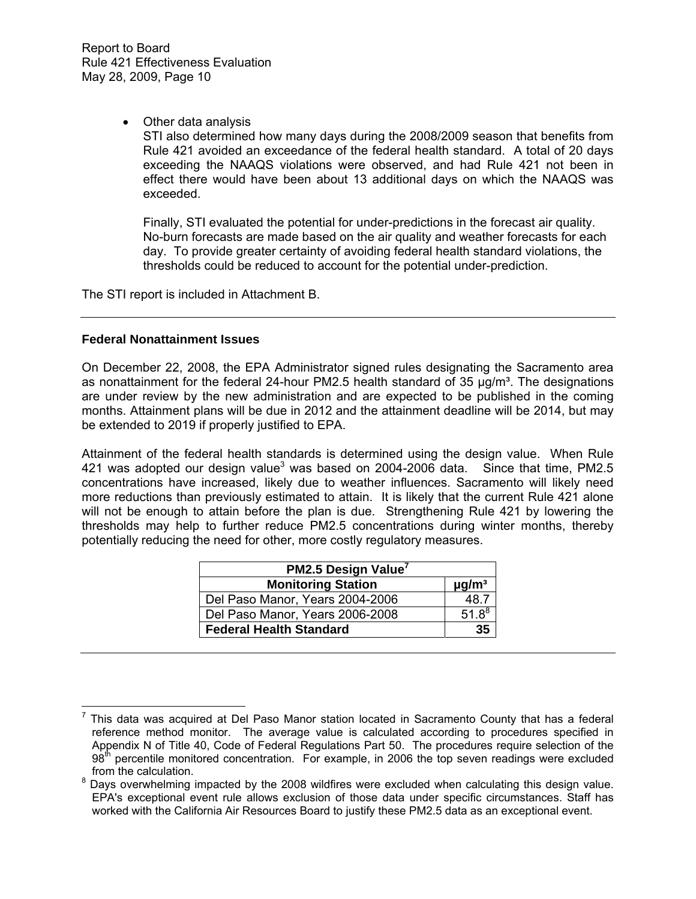• Other data analysis

STI also determined how many days during the 2008/2009 season that benefits from Rule 421 avoided an exceedance of the federal health standard. A total of 20 days exceeding the NAAQS violations were observed, and had Rule 421 not been in effect there would have been about 13 additional days on which the NAAQS was exceeded.

Finally, STI evaluated the potential for under-predictions in the forecast air quality. No-burn forecasts are made based on the air quality and weather forecasts for each day. To provide greater certainty of avoiding federal health standard violations, the thresholds could be reduced to account for the potential under-prediction.

The STI report is included in Attachment B.

## **Federal Nonattainment Issues**

On December 22, 2008, the EPA Administrator signed rules designating the Sacramento area as nonattainment for the federal 24-hour PM2.5 health standard of 35  $\mu q/m<sup>3</sup>$ . The designations are under review by the new administration and are expected to be published in the coming months. Attainment plans will be due in 2012 and the attainment deadline will be 2014, but may be extended to 2019 if properly justified to EPA.

Attainment of the federal health standards is determined using the design value. When Rule 421 was adopted our design value<sup>3</sup> was based on 2004-2006 data. Since that time, PM2.5 concentrations have increased, likely due to weather influences. Sacramento will likely need more reductions than previously estimated to attain. It is likely that the current Rule 421 alone will not be enough to attain before the plan is due. Strengthening Rule 421 by lowering the thresholds may help to further reduce PM2.5 concentrations during winter months, thereby potentially reducing the need for other, more costly regulatory measures.

| PM2.5 Design Value <sup>7</sup> |                        |  |  |  |
|---------------------------------|------------------------|--|--|--|
| <b>Monitoring Station</b>       | $\mu$ g/m <sup>3</sup> |  |  |  |
| Del Paso Manor, Years 2004-2006 | 48.7                   |  |  |  |
| Del Paso Manor, Years 2006-2008 | $51.8^{8}$             |  |  |  |
| <b>Federal Health Standard</b>  | 35                     |  |  |  |

 $\overline{a}$ 7 This data was acquired at Del Paso Manor station located in Sacramento County that has a federal reference method monitor. The average value is calculated according to procedures specified in Appendix N of Title 40, Code of Federal Regulations Part 50. The procedures require selection of the  $98<sup>th</sup>$  percentile monitored concentration. For example, in 2006 the top seven readings were excluded from the calculation.

 $8$  Days overwhelming impacted by the 2008 wildfires were excluded when calculating this design value. EPA's exceptional event rule allows exclusion of those data under specific circumstances. Staff has worked with the California Air Resources Board to justify these PM2.5 data as an exceptional event.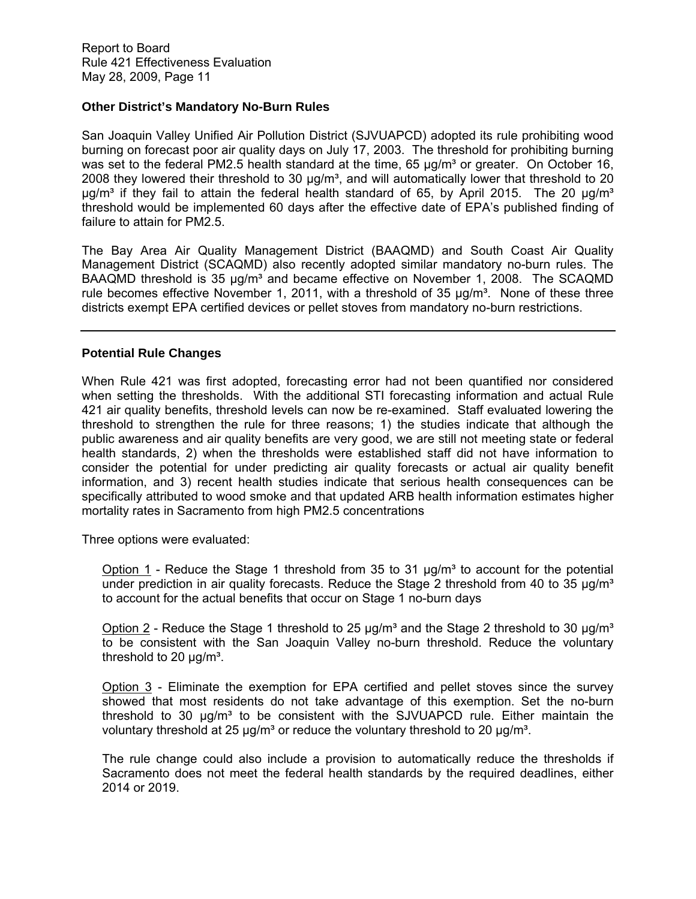## **Other District's Mandatory No-Burn Rules**

San Joaquin Valley Unified Air Pollution District (SJVUAPCD) adopted its rule prohibiting wood burning on forecast poor air quality days on July 17, 2003. The threshold for prohibiting burning was set to the federal PM2.5 health standard at the time,  $65 \mu g/m<sup>3</sup>$  or greater. On October 16, 2008 they lowered their threshold to 30  $\mu$ g/m<sup>3</sup>, and will automatically lower that threshold to 20  $\mu$ g/m<sup>3</sup> if they fail to attain the federal health standard of 65, by April 2015. The 20  $\mu$ g/m<sup>3</sup> threshold would be implemented 60 days after the effective date of EPA's published finding of failure to attain for PM2.5.

The Bay Area Air Quality Management District (BAAQMD) and South Coast Air Quality Management District (SCAQMD) also recently adopted similar mandatory no-burn rules. The BAAQMD threshold is 35  $\mu q/m^3$  and became effective on November 1, 2008. The SCAQMD rule becomes effective November 1, 2011, with a threshold of 35  $\mu$ g/m<sup>3</sup>. None of these three districts exempt EPA certified devices or pellet stoves from mandatory no-burn restrictions.

# **Potential Rule Changes**

When Rule 421 was first adopted, forecasting error had not been quantified nor considered when setting the thresholds. With the additional STI forecasting information and actual Rule 421 air quality benefits, threshold levels can now be re-examined. Staff evaluated lowering the threshold to strengthen the rule for three reasons; 1) the studies indicate that although the public awareness and air quality benefits are very good, we are still not meeting state or federal health standards, 2) when the thresholds were established staff did not have information to consider the potential for under predicting air quality forecasts or actual air quality benefit information, and 3) recent health studies indicate that serious health consequences can be specifically attributed to wood smoke and that updated ARB health information estimates higher mortality rates in Sacramento from high PM2.5 concentrations

Three options were evaluated:

Option  $1$  - Reduce the Stage 1 threshold from 35 to 31  $\mu$ g/m<sup>3</sup> to account for the potential under prediction in air quality forecasts. Reduce the Stage 2 threshold from 40 to 35  $\mu q/m<sup>3</sup>$ to account for the actual benefits that occur on Stage 1 no-burn days

Option 2 - Reduce the Stage 1 threshold to 25  $\mu$ g/m<sup>3</sup> and the Stage 2 threshold to 30  $\mu$ g/m<sup>3</sup> to be consistent with the San Joaquin Valley no-burn threshold. Reduce the voluntary threshold to 20  $\mu$ g/m<sup>3</sup>.

Option  $3$  - Eliminate the exemption for EPA certified and pellet stoves since the survey showed that most residents do not take advantage of this exemption. Set the no-burn threshold to 30  $\mu q/m^3$  to be consistent with the SJVUAPCD rule. Either maintain the voluntary threshold at 25  $\mu$ g/m<sup>3</sup> or reduce the voluntary threshold to 20  $\mu$ g/m<sup>3</sup>.

The rule change could also include a provision to automatically reduce the thresholds if Sacramento does not meet the federal health standards by the required deadlines, either 2014 or 2019.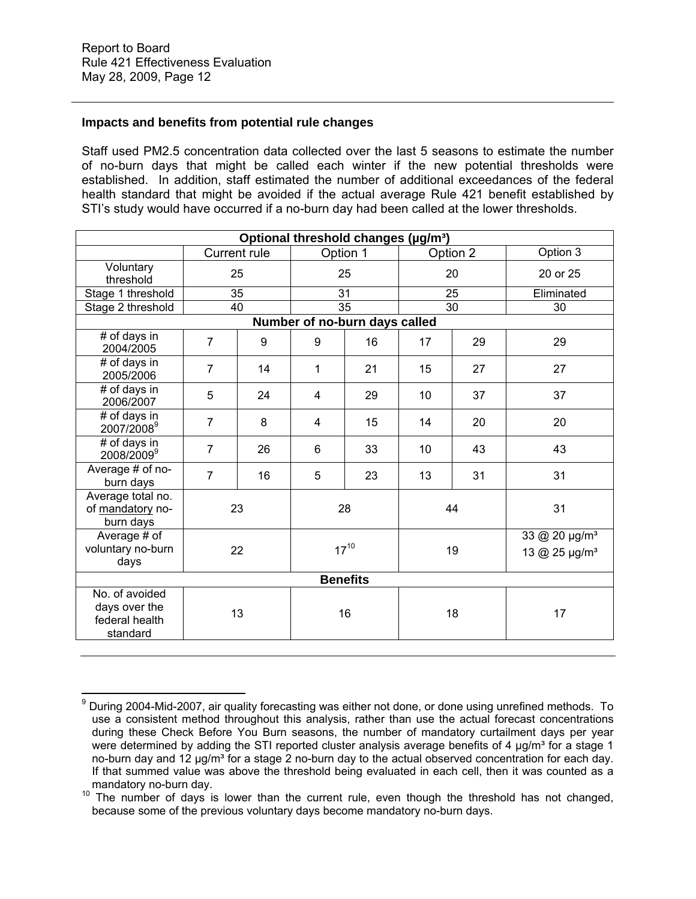## **Impacts and benefits from potential rule changes**

Staff used PM2.5 concentration data collected over the last 5 seasons to estimate the number of no-burn days that might be called each winter if the new potential thresholds were established. In addition, staff estimated the number of additional exceedances of the federal health standard that might be avoided if the actual average Rule 421 benefit established by STI's study would have occurred if a no-burn day had been called at the lower thresholds.

| Optional threshold changes (µg/m <sup>3</sup> )                     |                     |    |           |                               |                 |          |                                                        |
|---------------------------------------------------------------------|---------------------|----|-----------|-------------------------------|-----------------|----------|--------------------------------------------------------|
|                                                                     | <b>Current rule</b> |    |           | Option 1                      |                 | Option 2 | Option 3                                               |
| Voluntary<br>threshold                                              | 25                  |    | 25        |                               | 20              |          | 20 or 25                                               |
| Stage 1 threshold                                                   |                     | 35 | 31        |                               | 25              |          | Eliminated                                             |
| Stage 2 threshold                                                   |                     | 40 |           | $\overline{35}$               | $\overline{30}$ |          | 30                                                     |
|                                                                     |                     |    |           | Number of no-burn days called |                 |          |                                                        |
| # of days in<br>2004/2005                                           | $\overline{7}$      | 9  | 9         | 16                            | 17              | 29       | 29                                                     |
| # of days in<br>2005/2006                                           | $\overline{7}$      | 14 | 1         | 21                            | 15              | 27       | 27                                                     |
| # of days in<br>2006/2007                                           | 5                   | 24 | 4         | 29                            | 10              | 37       | 37                                                     |
| # of days in<br>2007/2008 <sup>9</sup>                              | $\overline{7}$      | 8  | 4         | 15                            | 14              | 20       | 20                                                     |
| # of days in<br>2008/2009 <sup>9</sup>                              | 7                   | 26 | 6         | 33                            | 10              | 43       | 43                                                     |
| Average # of no-<br>burn days                                       | $\overline{7}$      | 16 | 5         | 23                            | 13              | 31       | 31                                                     |
| Average total no.<br>of mandatory no-<br>burn days                  |                     | 23 |           | 28                            |                 | 44       | 31                                                     |
| Average # of<br>voluntary no-burn<br>days                           |                     | 22 | $17^{10}$ |                               |                 | 19       | 33 @ 20 µg/m <sup>3</sup><br>13 @ 25 µg/m <sup>3</sup> |
| <b>Benefits</b>                                                     |                     |    |           |                               |                 |          |                                                        |
| No. of avoided<br>days over the<br>13<br>federal health<br>standard |                     |    | 16        |                               | 18              | 17       |                                                        |

 $\overline{a}$ 9 During 2004-Mid-2007, air quality forecasting was either not done, or done using unrefined methods. To use a consistent method throughout this analysis, rather than use the actual forecast concentrations during these Check Before You Burn seasons, the number of mandatory curtailment days per year were determined by adding the STI reported cluster analysis average benefits of 4 µg/m<sup>3</sup> for a stage 1 no-burn day and 12  $\mu$ g/m<sup>3</sup> for a stage 2 no-burn day to the actual observed concentration for each day. If that summed value was above the threshold being evaluated in each cell, then it was counted as a

mandatory no-burn day.<br><sup>10</sup> The number of days is lower than the current rule, even though the threshold has not changed, because some of the previous voluntary days become mandatory no-burn days.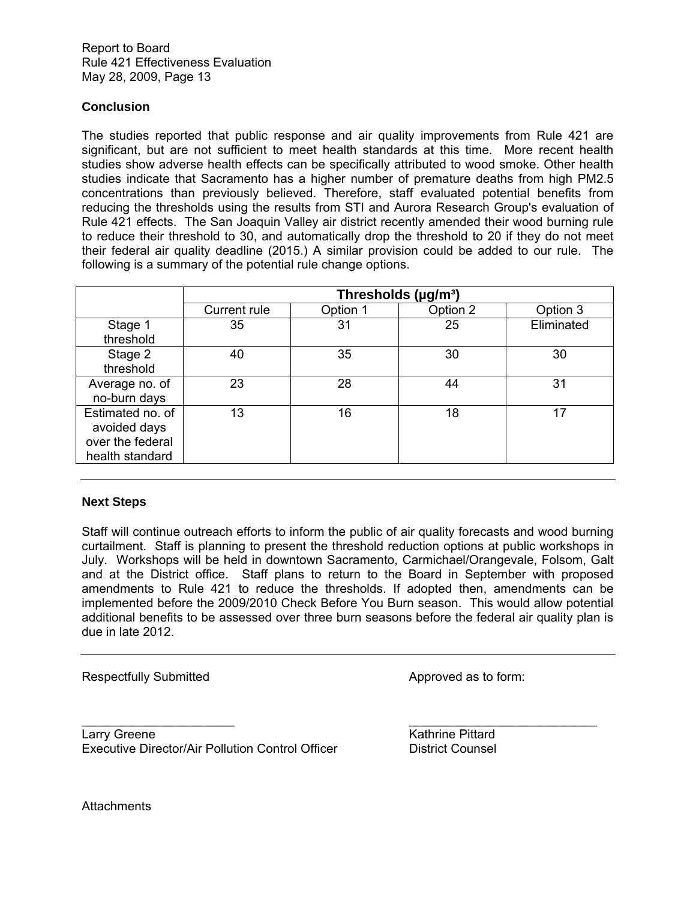## **Conclusion**

The studies reported that public response and air quality improvements from Rule 421 are significant, but are not sufficient to meet health standards at this time. More recent health studies show adverse health effects can be specifically attributed to wood smoke. Other health studies indicate that Sacramento has a higher number of premature deaths from high PM2.5 concentrations than previously believed. Therefore, staff evaluated potential benefits from reducing the thresholds using the results from STI and Aurora Research Group's evaluation of Rule 421 effects. The San Joaquin Valley air district recently amended their wood burning rule to reduce their threshold to 30, and automatically drop the threshold to 20 if they do not meet their federal air quality deadline (2015.) A similar provision could be added to our rule. The following is a summary of the potential rule change options.

|                  | Thresholds (µg/m <sup>3</sup> ) |          |          |            |  |  |  |
|------------------|---------------------------------|----------|----------|------------|--|--|--|
|                  | <b>Current rule</b>             | Option 1 | Option 2 | Option 3   |  |  |  |
| Stage 1          | 35                              | 31       | 25       | Eliminated |  |  |  |
| threshold        |                                 |          |          |            |  |  |  |
| Stage 2          | 40                              | 35       | 30       | 30         |  |  |  |
| threshold        |                                 |          |          |            |  |  |  |
| Average no. of   | 23                              | 28       | 44       | 31         |  |  |  |
| no-burn days     |                                 |          |          |            |  |  |  |
| Estimated no. of | 13                              | 16       | 18       | 17         |  |  |  |
| avoided days     |                                 |          |          |            |  |  |  |
| over the federal |                                 |          |          |            |  |  |  |
| health standard  |                                 |          |          |            |  |  |  |

#### **Next Steps**

Staff will continue outreach efforts to inform the public of air quality forecasts and wood burning curtailment. Staff is planning to present the threshold reduction options at public workshops in July. Workshops will be held in downtown Sacramento, Carmichael/Orangevale, Folsom, Galt and at the District office. Staff plans to return to the Board in September with proposed amendments to Rule 421 to reduce the thresholds. If adopted then, amendments can be implemented before the 2009/2010 Check Before You Burn season. This would allow potential additional benefits to be assessed over three burn seasons before the federal air quality plan is due in late 2012.

 $\overline{\phantom{a}}$  , and the contract of the contract of the contract of the contract of the contract of the contract of the contract of the contract of the contract of the contract of the contract of the contract of the contrac

Respectfully Submitted Approved as to form:

Larry Greene **Kathrine Pittard** Executive Director/Air Pollution Control Officer District Counsel

**Attachments**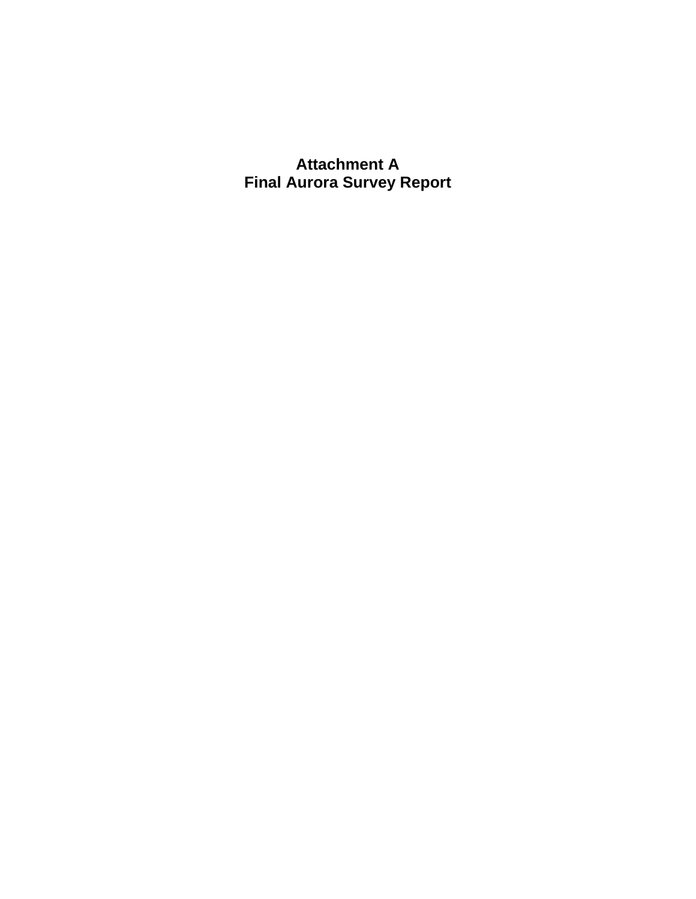**Attachment A Final Aurora Survey Report**